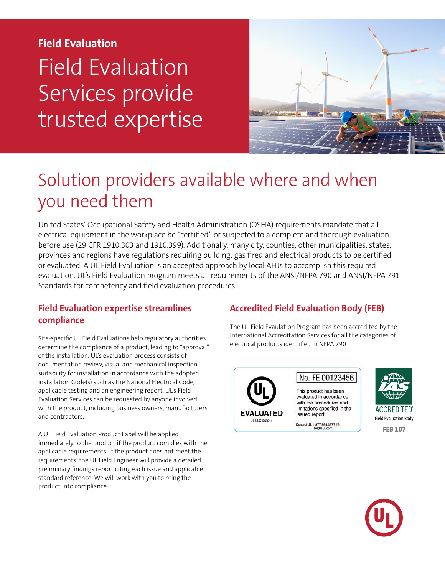# **Field Evaluation** Field Evaluation Services provide trusted expertise



## Solution providers available where and when you need them

United States' Occupational Safety and Health Administration (OSHA) requirements mandate that all electrical equipment in the workplace be "certified" or subjected to a complete and thorough evaluation before use (29 CFR 1910.303 and 1910.399). Additionally, many city, counties, other municipalities, states, provinces and regions have regulations requiring building, gas fired and electrical products to be certified or evaluated. A UL Field Evaluation is an accepted approach by local AHJs to accomplish this required evaluation. UL's Field Evaluation program meets all requirements of the ANSI/NFPA 790 and ANSI/NFPA 791 Standards for competency and field evaluation procedures.

### **Field Evaluation expertise streamlines compliance**

Site-specific UL Field Evaluations help regulatory authorities determine the compliance of a product, leading to "approval" of the installation. UL's evaluation process consists of documentation review, visual and mechanical inspection, suitability for installation in accordance with the adopted installation Code(s) such as the National Electrical Code, applicable testing and an engineering report. UL's Field Evaluation Services can be requested by anyone involved with the product, including business owners, manufacturers and contractors.

A UL Field Evaluation Product Label will be applied immediately to the product if the product complies with the applicable requirements. If the product does not meet the requirements, the UL Field Engineer will provide a detailed preliminary findings report citing each issue and applicable standard reference. We will work with you to bring the product into compliance.

## **Accredited Field Evaluation Body (FEB)**

The UL Field Evaulation Program has been accredited by the International Accreditation Services for all the categories of electrical products identified in NFPA 790



ACCREDITED Field Evaluation Body **FEB 107**